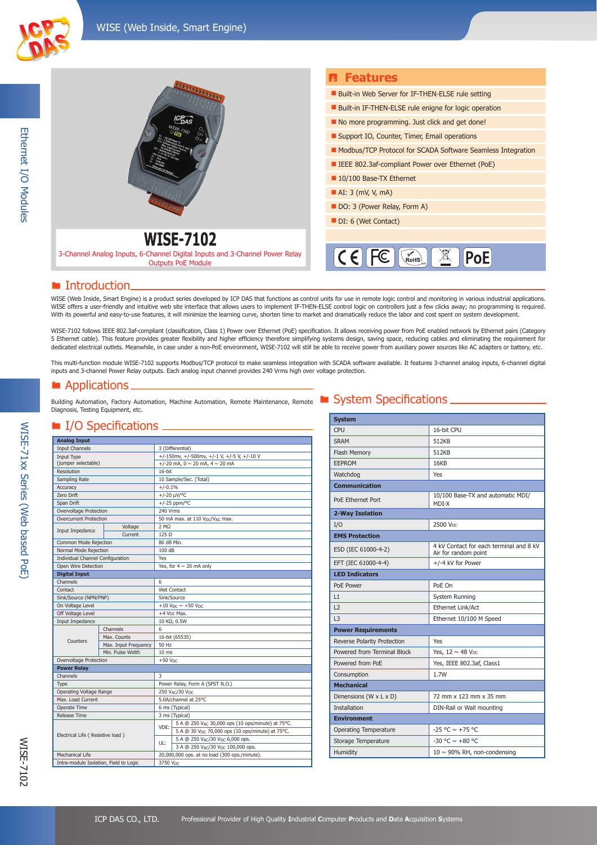



### ■ Introduction.

WISE (Web Inside, Smart Engine) is a product series developed by ICP DAS that functions as control units for use in remote logic control and monitoring in various industrial applications. WISE offers a user-friendly and intuitive web site interface that allows users to implement IF-THEN-ELSE control logic on controllers just a few clicks away; no programming is required. With its powerful and easy-to-use features, it will minimize the learning curve, shorten time to market and dramatically reduce the labor and cost spent on system development.

WISE-7102 follows IEEE 802.3af-compliant (classification, Class 1) Power over Ethernet (PoE) specification. It allows receiving power from PoE enabled network by Ethernet pairs (Category 5 Ethernet cable). This feature provides greater flexibility and higher efficiency therefore simplifying systems design, saving space, reducing cables and eliminating the requirement for dedicated electrical outlets. Meanwhile, in case under a non-PoE environment, WISE-7102 will still be able to receive power from auxiliary power sources like AC adapters or battery, etc.

This multi-function module WISE-7102 supports Modbus/TCP protocol to make seamless integration with SCADA software available. It features 3-channel analog inputs, 6-channel digital inputs and 3-channel Power Relay outputs. Each analog input channel provides 240 Vrms high over voltage protection.

### ■ Applications.

Building Automation, Factory Automation, Machine Automation, Remote Maintenance, Remote **System Specifications** Diagnosis, Testing Equipment, etc.

### I/O Specifications

| <b>Analog Input</b>                    |                      |                                                         |                                                              |  |
|----------------------------------------|----------------------|---------------------------------------------------------|--------------------------------------------------------------|--|
| <b>Input Channels</b>                  |                      |                                                         | 3 (Differential)                                             |  |
| Input Type                             |                      |                                                         | +/-150mv, +/-500mv, +/-1 V, +/-5 V, +/-10 V                  |  |
| (jumper selectable)                    |                      |                                                         | +/-20 mA, $0 \sim 20$ mA, $4 \sim 20$ mA                     |  |
| Resolution                             |                      |                                                         | 16-bit                                                       |  |
| Sampling Rate                          |                      |                                                         | 10 Sample/Sec. (Total)                                       |  |
| Accuracy                               |                      | $+/-0.1%$                                               |                                                              |  |
| Zero Drift                             |                      | +/-20 µV/°C                                             |                                                              |  |
| Span Drift                             |                      | $+/-25$ ppm/°C                                          |                                                              |  |
| Overvoltage Protection                 |                      | 240 Vrms                                                |                                                              |  |
| <b>Overcurrent Protection</b>          |                      | 50 mA max. at 110 V <sub>DC</sub> /V <sub>AC</sub> max. |                                                              |  |
|                                        | Voltage              | 2 MO                                                    |                                                              |  |
| Input Impedance                        | Current              | $125 \Omega$                                            |                                                              |  |
| Common Mode Rejection                  |                      | 86 dB Min.                                              |                                                              |  |
| Normal Mode Rejection                  |                      | 100 dB                                                  |                                                              |  |
| Individual Channel Configuration       |                      | Yes                                                     |                                                              |  |
| Open Wire Detection                    |                      |                                                         | Yes, for $4 \sim 20$ mA only                                 |  |
| <b>Digital Input</b>                   |                      |                                                         |                                                              |  |
| Channels                               |                      | 6                                                       |                                                              |  |
| Contact                                |                      | Wet Contact                                             |                                                              |  |
| Sink/Source (NPN/PNP)                  |                      | Sink/Source                                             |                                                              |  |
| On Voltage Level                       |                      | +10 $V_{DC}$ ~ +50 $V_{DC}$                             |                                                              |  |
| Off Voltage Level                      |                      | $+4$ V <sub>DC</sub> Max.                               |                                                              |  |
| Input Impedance                        |                      | 10 KΩ, 0.5W                                             |                                                              |  |
|                                        | Channels             | 6                                                       |                                                              |  |
|                                        | Max. Counts          | 16-bit (65535)                                          |                                                              |  |
| Counters                               | Max. Input Frequency | 50 Hz                                                   |                                                              |  |
|                                        | Min. Pulse Width     | 10 <sub>ms</sub>                                        |                                                              |  |
| Overvoltage Protection                 |                      | $+50$ V <sub>DC</sub>                                   |                                                              |  |
| <b>Power Relay</b>                     |                      |                                                         |                                                              |  |
| Channels                               |                      | 3                                                       |                                                              |  |
| Type                                   |                      | Power Relay, Form A (SPST N.O.)                         |                                                              |  |
| Operating Voltage Range                |                      | 250 VAC/30 VDC                                          |                                                              |  |
| Max. Load Current                      |                      | 5.0A/channel at 25°C                                    |                                                              |  |
| Operate Time                           |                      | 6 ms (Typical)                                          |                                                              |  |
| <b>Release Time</b>                    |                      |                                                         | 3 ms (Typical)                                               |  |
| Electrical Life (Resistive load)       |                      | VDE:<br>UL:                                             | 5 A @ 250 VAC 30,000 ops (10 ops/minute) at 75°C.            |  |
|                                        |                      |                                                         | 5 A @ 30 V <sub>DC</sub> 70,000 ops (10 ops/minute) at 75°C. |  |
|                                        |                      |                                                         | 5 A @ 250 VAC/30 Vpc 6,000 ops.                              |  |
|                                        |                      |                                                         | 3 A @ 250 VAC/30 Vpc 100,000 ops.                            |  |
| <b>Mechanical Life</b>                 |                      | 20,000,000 ops. at no load (300 ops./minute).           |                                                              |  |
| Intra-module Isolation, Field to Logic |                      | 3750 Vpc                                                |                                                              |  |

| <b>System</b>                |                                                                 |
|------------------------------|-----------------------------------------------------------------|
| CPU                          | 16-bit CPU                                                      |
| <b>SRAM</b>                  | 512KB                                                           |
| Flash Memory                 | 512KB                                                           |
| <b>EEPROM</b>                | 16KB                                                            |
| Watchdog                     | <b>Yes</b>                                                      |
| <b>Communication</b>         |                                                                 |
| PoE Ethernet Port            | 10/100 Base-TX and automatic MDI/<br>MDI-X                      |
| 2-Way Isolation              |                                                                 |
| I/O                          | 2500 V <sub>DC</sub>                                            |
| <b>EMS Protection</b>        |                                                                 |
| ESD (IEC 61000-4-2)          | 4 kV Contact for each terminal and 8 kV<br>Air for random point |
| EFT (IEC 61000-4-4)          | +/-4 kV for Power                                               |
| <b>LED Indicators</b>        |                                                                 |
| PoE Power                    | PoE On                                                          |
| 1                            | System Running                                                  |
| L2                           | Ethernet Link/Act                                               |
| 3                            | Ethernet 10/100 M Speed                                         |
| <b>Power Requirements</b>    |                                                                 |
| Reverse Polarity Protection  | Yes                                                             |
| Powered from Terminal Block  | Yes, $12 \sim 48$ V <sub>pc</sub>                               |
| Powered from PoE             | Yes, IEEE 802.3af, Class1                                       |
| Consumption                  | 1.7W                                                            |
| <b>Mechanical</b>            |                                                                 |
| Dimensions (W x L x D)       | 72 mm x 123 mm x 35 mm                                          |
| <b>Installation</b>          | DIN-Rail or Wall mounting                                       |
| <b>Environment</b>           |                                                                 |
| <b>Operating Temperature</b> | $-25$ °C $\sim$ +75 °C                                          |
| Storage Temperature          | $-30$ °C $\sim +80$ °C                                          |
| Humidity                     | $10 \sim 90\%$ RH, non-condensing                               |

WISE-7102

**MISE-7102** 

WISE-71xx Series (Web based PoE)

WISE-71xx Series (Web based PoE)